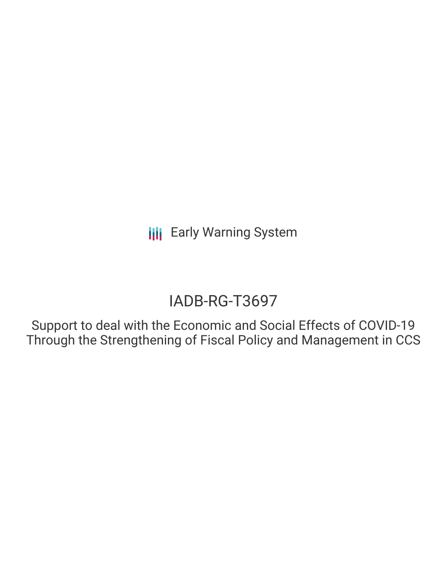# IADB-RG-T3697

Support to deal with the Economic and Social Effects of COVID-19 Through the Strengthening of Fiscal Policy and Management in CCS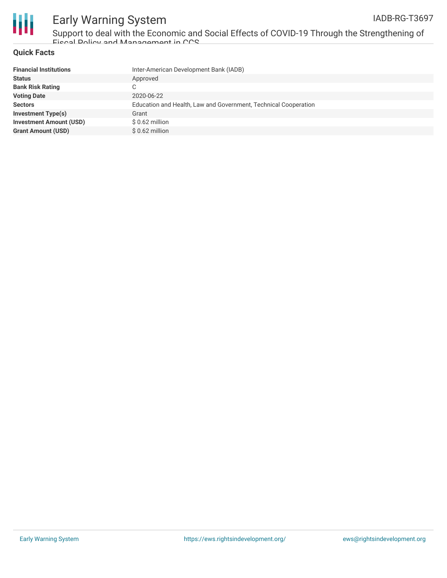

Support to deal with the Economic and Social Effects of COVID-19 Through the Strengthening of Fiscal Policy and Management in CCS

### **Quick Facts**

| <b>Financial Institutions</b>  | Inter-American Development Bank (IADB)                          |
|--------------------------------|-----------------------------------------------------------------|
| <b>Status</b>                  | Approved                                                        |
| <b>Bank Risk Rating</b>        |                                                                 |
| <b>Voting Date</b>             | 2020-06-22                                                      |
| <b>Sectors</b>                 | Education and Health, Law and Government, Technical Cooperation |
| <b>Investment Type(s)</b>      | Grant                                                           |
| <b>Investment Amount (USD)</b> | $$0.62$ million                                                 |
| <b>Grant Amount (USD)</b>      | $$0.62$ million                                                 |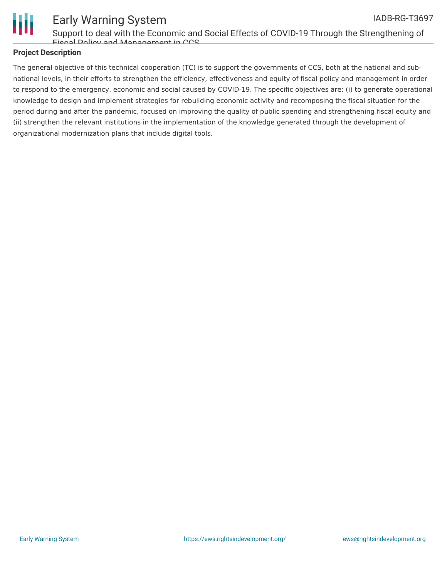

Support to deal with the Economic and Social Effects of COVID-19 Through the Strengthening of Fiscal Policy and Management in CCS

### **Project Description**

The general objective of this technical cooperation (TC) is to support the governments of CCS, both at the national and subnational levels, in their efforts to strengthen the efficiency, effectiveness and equity of fiscal policy and management in order to respond to the emergency. economic and social caused by COVID-19. The specific objectives are: (i) to generate operational knowledge to design and implement strategies for rebuilding economic activity and recomposing the fiscal situation for the period during and after the pandemic, focused on improving the quality of public spending and strengthening fiscal equity and (ii) strengthen the relevant institutions in the implementation of the knowledge generated through the development of organizational modernization plans that include digital tools.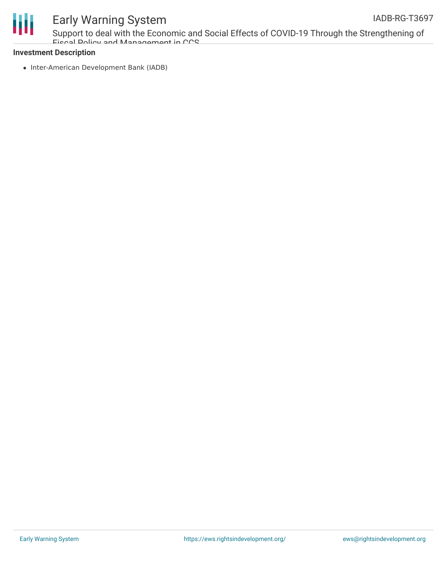



Support to deal with the Economic and Social Effects of COVID-19 Through the Strengthening of Fiscal Policy and Management in CCS

#### **Investment Description**

• Inter-American Development Bank (IADB)